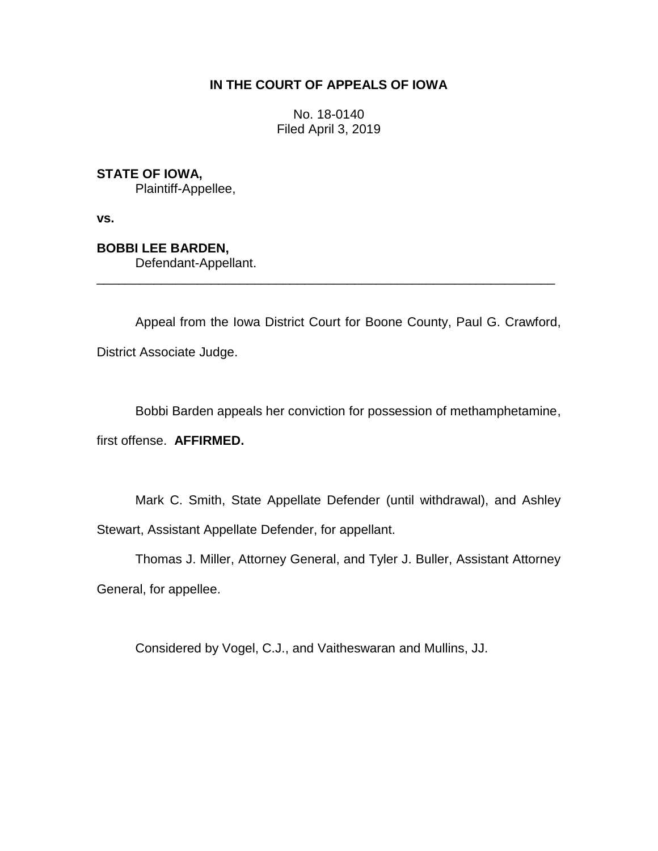## **IN THE COURT OF APPEALS OF IOWA**

No. 18-0140 Filed April 3, 2019

**STATE OF IOWA,**

Plaintiff-Appellee,

**vs.**

**BOBBI LEE BARDEN,**

Defendant-Appellant.

Appeal from the Iowa District Court for Boone County, Paul G. Crawford, District Associate Judge.

\_\_\_\_\_\_\_\_\_\_\_\_\_\_\_\_\_\_\_\_\_\_\_\_\_\_\_\_\_\_\_\_\_\_\_\_\_\_\_\_\_\_\_\_\_\_\_\_\_\_\_\_\_\_\_\_\_\_\_\_\_\_\_\_

Bobbi Barden appeals her conviction for possession of methamphetamine,

first offense. **AFFIRMED.**

Mark C. Smith, State Appellate Defender (until withdrawal), and Ashley Stewart, Assistant Appellate Defender, for appellant.

Thomas J. Miller, Attorney General, and Tyler J. Buller, Assistant Attorney General, for appellee.

Considered by Vogel, C.J., and Vaitheswaran and Mullins, JJ.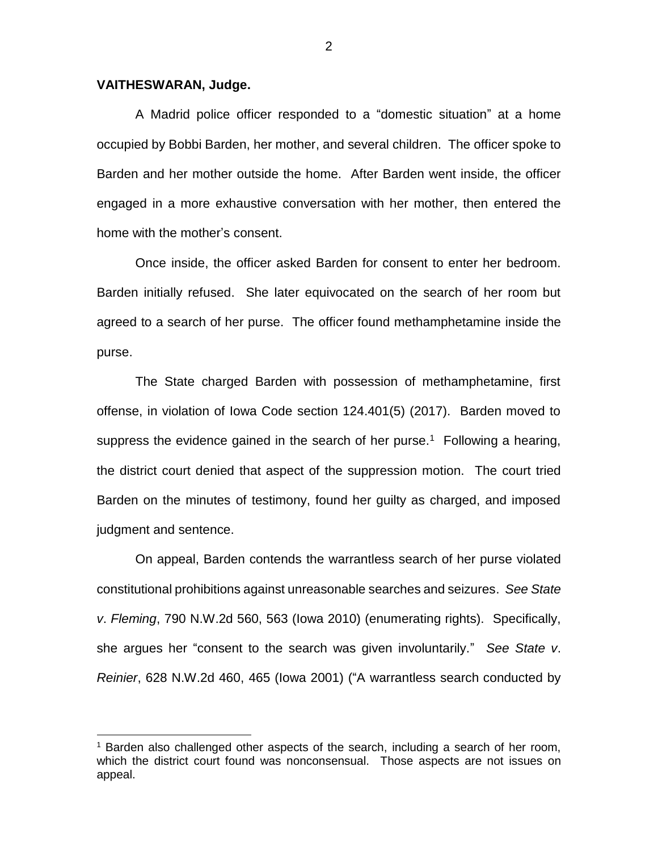## **VAITHESWARAN, Judge.**

 $\overline{a}$ 

A Madrid police officer responded to a "domestic situation" at a home occupied by Bobbi Barden, her mother, and several children. The officer spoke to Barden and her mother outside the home. After Barden went inside, the officer engaged in a more exhaustive conversation with her mother, then entered the home with the mother's consent.

Once inside, the officer asked Barden for consent to enter her bedroom. Barden initially refused. She later equivocated on the search of her room but agreed to a search of her purse. The officer found methamphetamine inside the purse.

The State charged Barden with possession of methamphetamine, first offense, in violation of Iowa Code section 124.401(5) (2017). Barden moved to suppress the evidence gained in the search of her purse.<sup>1</sup> Following a hearing, the district court denied that aspect of the suppression motion. The court tried Barden on the minutes of testimony, found her guilty as charged, and imposed judgment and sentence.

On appeal, Barden contends the warrantless search of her purse violated constitutional prohibitions against unreasonable searches and seizures. *See State v*. *Fleming*, 790 N.W.2d 560, 563 (Iowa 2010) (enumerating rights). Specifically, she argues her "consent to the search was given involuntarily." *See State v*. *Reinier*, 628 N.W.2d 460, 465 (Iowa 2001) ("A warrantless search conducted by

<sup>1</sup> Barden also challenged other aspects of the search, including a search of her room, which the district court found was nonconsensual. Those aspects are not issues on appeal.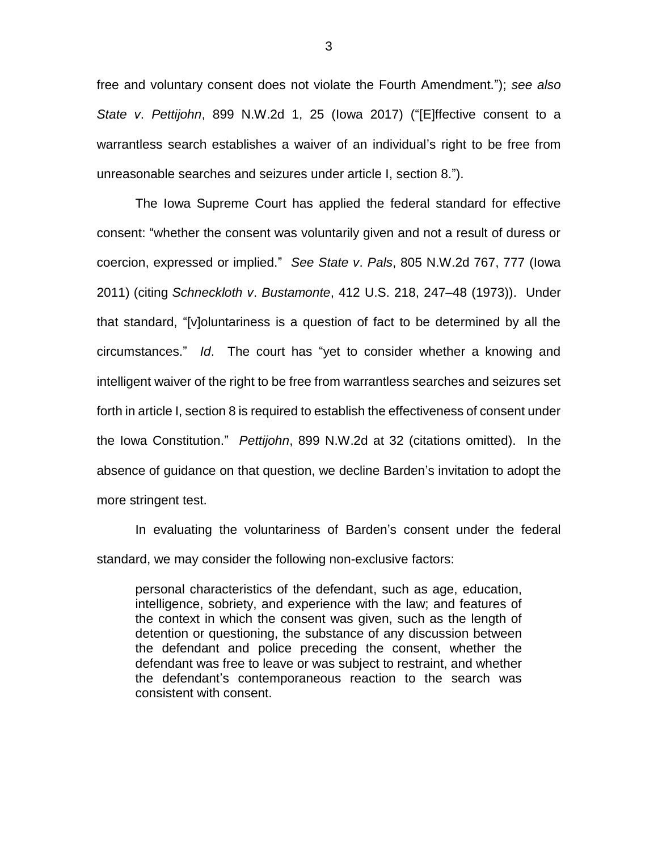free and voluntary consent does not violate the Fourth Amendment."); *see also State v*. *Pettijohn*, 899 N.W.2d 1, 25 (Iowa 2017) ("[E]ffective consent to a warrantless search establishes a waiver of an individual's right to be free from unreasonable searches and seizures under article I, section 8.").

The Iowa Supreme Court has applied the federal standard for effective consent: "whether the consent was voluntarily given and not a result of duress or coercion, expressed or implied." *See State v*. *Pals*, 805 N.W.2d 767, 777 (Iowa 2011) (citing *Schneckloth v*. *Bustamonte*, 412 U.S. 218, 247–48 (1973)). Under that standard, "[v]oluntariness is a question of fact to be determined by all the circumstances." *Id*. The court has "yet to consider whether a knowing and intelligent waiver of the right to be free from warrantless searches and seizures set forth in article I, section 8 is required to establish the effectiveness of consent under the Iowa Constitution." *Pettijohn*, 899 N.W.2d at 32 (citations omitted). In the absence of guidance on that question, we decline Barden's invitation to adopt the more stringent test.

In evaluating the voluntariness of Barden's consent under the federal standard, we may consider the following non-exclusive factors:

personal characteristics of the defendant, such as age, education, intelligence, sobriety, and experience with the law; and features of the context in which the consent was given, such as the length of detention or questioning, the substance of any discussion between the defendant and police preceding the consent, whether the defendant was free to leave or was subject to restraint, and whether the defendant's contemporaneous reaction to the search was consistent with consent.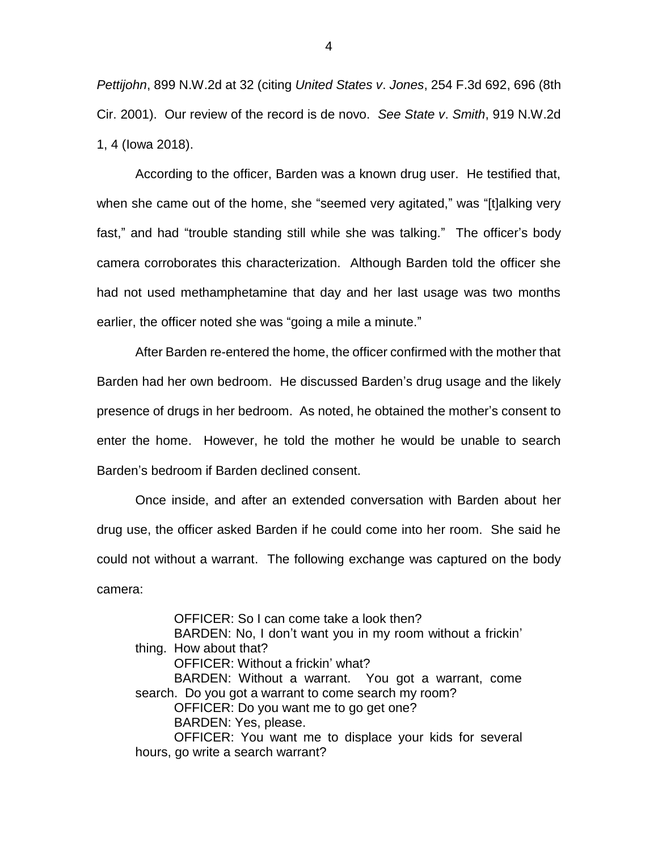*Pettijohn*, 899 N.W.2d at 32 (citing *United States v*. *Jones*, 254 F.3d 692, 696 (8th Cir. 2001). Our review of the record is de novo. *See State v*. *Smith*, 919 N.W.2d 1, 4 (Iowa 2018).

According to the officer, Barden was a known drug user. He testified that, when she came out of the home, she "seemed very agitated," was "[t]alking very fast," and had "trouble standing still while she was talking." The officer's body camera corroborates this characterization. Although Barden told the officer she had not used methamphetamine that day and her last usage was two months earlier, the officer noted she was "going a mile a minute."

After Barden re-entered the home, the officer confirmed with the mother that Barden had her own bedroom. He discussed Barden's drug usage and the likely presence of drugs in her bedroom. As noted, he obtained the mother's consent to enter the home. However, he told the mother he would be unable to search Barden's bedroom if Barden declined consent.

Once inside, and after an extended conversation with Barden about her drug use, the officer asked Barden if he could come into her room. She said he could not without a warrant. The following exchange was captured on the body camera:

OFFICER: So I can come take a look then? BARDEN: No, I don't want you in my room without a frickin' thing. How about that? OFFICER: Without a frickin' what? BARDEN: Without a warrant. You got a warrant, come search. Do you got a warrant to come search my room? OFFICER: Do you want me to go get one? BARDEN: Yes, please. OFFICER: You want me to displace your kids for several hours, go write a search warrant?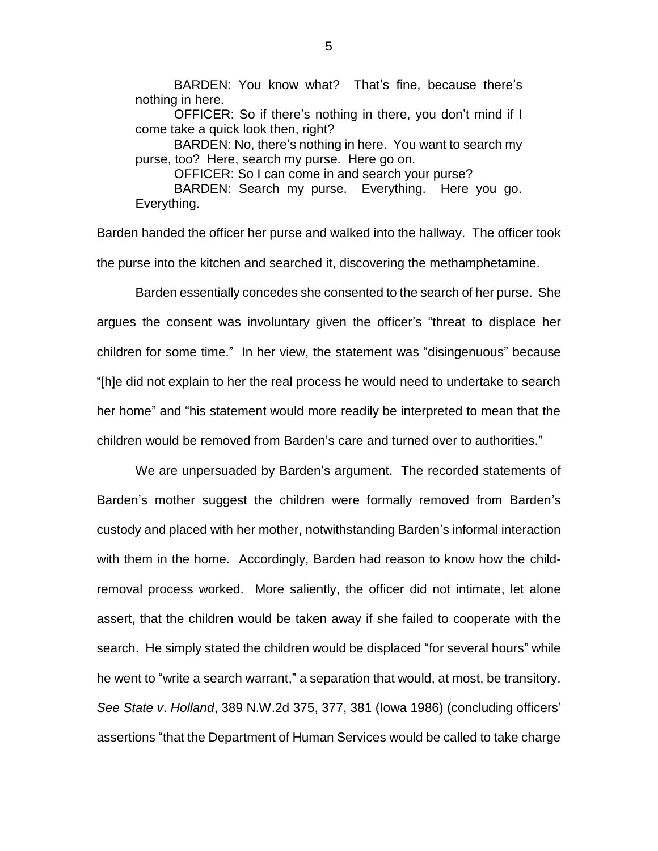BARDEN: You know what? That's fine, because there's nothing in here.

OFFICER: So if there's nothing in there, you don't mind if I come take a quick look then, right?

BARDEN: No, there's nothing in here. You want to search my purse, too? Here, search my purse. Here go on.

OFFICER: So I can come in and search your purse?

BARDEN: Search my purse. Everything. Here you go. Everything.

Barden handed the officer her purse and walked into the hallway. The officer took the purse into the kitchen and searched it, discovering the methamphetamine.

Barden essentially concedes she consented to the search of her purse. She argues the consent was involuntary given the officer's "threat to displace her children for some time." In her view, the statement was "disingenuous" because "[h]e did not explain to her the real process he would need to undertake to search her home" and "his statement would more readily be interpreted to mean that the children would be removed from Barden's care and turned over to authorities."

We are unpersuaded by Barden's argument. The recorded statements of Barden's mother suggest the children were formally removed from Barden's custody and placed with her mother, notwithstanding Barden's informal interaction with them in the home. Accordingly, Barden had reason to know how the childremoval process worked. More saliently, the officer did not intimate, let alone assert, that the children would be taken away if she failed to cooperate with the search. He simply stated the children would be displaced "for several hours" while he went to "write a search warrant," a separation that would, at most, be transitory. *See State v*. *Holland*, 389 N.W.2d 375, 377, 381 (Iowa 1986) (concluding officers' assertions "that the Department of Human Services would be called to take charge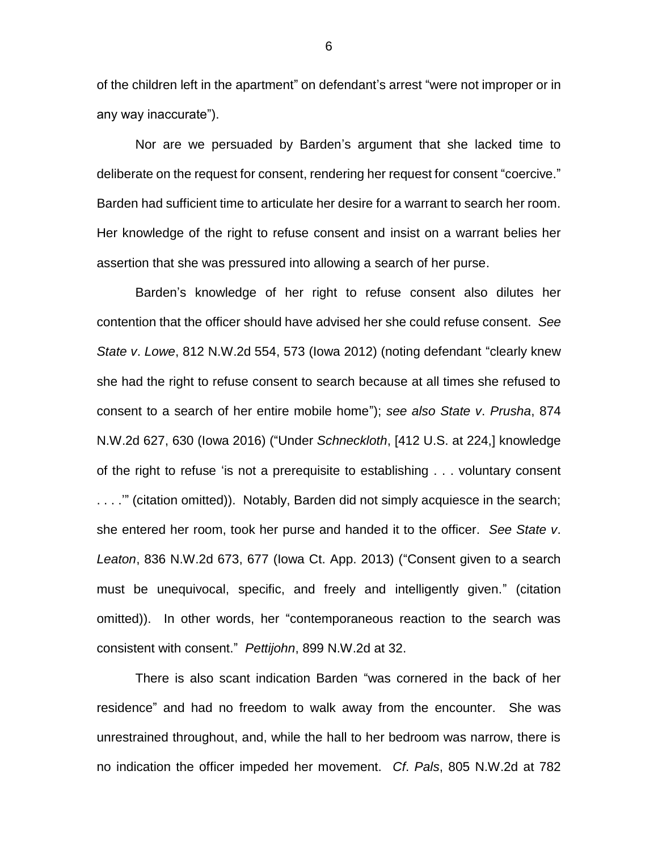of the children left in the apartment" on defendant's arrest "were not improper or in any way inaccurate").

Nor are we persuaded by Barden's argument that she lacked time to deliberate on the request for consent, rendering her request for consent "coercive." Barden had sufficient time to articulate her desire for a warrant to search her room. Her knowledge of the right to refuse consent and insist on a warrant belies her assertion that she was pressured into allowing a search of her purse.

Barden's knowledge of her right to refuse consent also dilutes her contention that the officer should have advised her she could refuse consent. *See State v*. *Lowe*, 812 N.W.2d 554, 573 (Iowa 2012) (noting defendant "clearly knew she had the right to refuse consent to search because at all times she refused to consent to a search of her entire mobile home"); *see also State v*. *Prusha*, 874 N.W.2d 627, 630 (Iowa 2016) ("Under *Schneckloth*, [412 U.S. at 224,] knowledge of the right to refuse 'is not a prerequisite to establishing . . . voluntary consent . . . .'" (citation omitted)). Notably, Barden did not simply acquiesce in the search; she entered her room, took her purse and handed it to the officer. *See State v*. *Leaton*, 836 N.W.2d 673, 677 (Iowa Ct. App. 2013) ("Consent given to a search must be unequivocal, specific, and freely and intelligently given." (citation omitted)). In other words, her "contemporaneous reaction to the search was consistent with consent." *Pettijohn*, 899 N.W.2d at 32.

There is also scant indication Barden "was cornered in the back of her residence" and had no freedom to walk away from the encounter. She was unrestrained throughout, and, while the hall to her bedroom was narrow, there is no indication the officer impeded her movement. *Cf*. *Pals*, 805 N.W.2d at 782

6